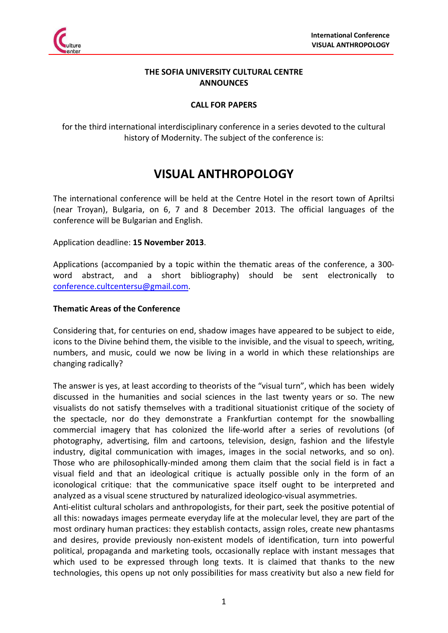

## **THE SOFIA UNIVERSITY CULTURAL CENTRE ANNOUNCES**

# **CALL FOR PAPERS**

for the third international interdisciplinary conference in a series devoted to the cultural history of Modernity. The subject of the conference is:

# **VISUAL ANTHROPOLOGY**

The international conference will be held at the Centre Hotel in the resort town of Apriltsi (near Troyan), Bulgaria, on 6, 7 and 8 December 2013. The official languages of the conference will be Bulgarian and English.

## Application deadline: **15 November 2013**.

Applications (accompanied by a topic within the thematic areas of the conference, a 300 word abstract, and a short bibliography) should be sent electronically to conference.cultcentersu@gmail.com.

#### **Thematic Areas of the Conference**

Considering that, for centuries on end, shadow images have appeared to be subject to eide, icons to the Divine behind them, the visible to the invisible, and the visual to speech, writing, numbers, and music, could we now be living in a world in which these relationships are changing radically?

The answer is yes, at least according to theorists of the "visual turn", which has been widely discussed in the humanities and social sciences in the last twenty years or so. The new visualists do not satisfy themselves with a traditional situationist critique of the society of the spectacle, nor do they demonstrate a Frankfurtian contempt for the snowballing commercial imagery that has colonized the life-world after a series of revolutions (of photography, advertising, film and cartoons, television, design, fashion and the lifestyle industry, digital communication with images, images in the social networks, and so on). Those who are philosophically-minded among them claim that the social field is in fact a visual field and that an ideological critique is actually possible only in the form of an iconological critique: that the communicative space itself ought to be interpreted and analyzed as a visual scene structured by naturalized ideologico-visual asymmetries.

Anti-elitist cultural scholars and anthropologists, for their part, seek the positive potential of all this: nowadays images permeate everyday life at the molecular level, they are part of the most ordinary human practices: they establish contacts, assign roles, create new phantasms and desires, provide previously non-existent models of identification, turn into powerful political, propaganda and marketing tools, occasionally replace with instant messages that which used to be expressed through long texts. It is claimed that thanks to the new technologies, this opens up not only possibilities for mass creativity but also a new field for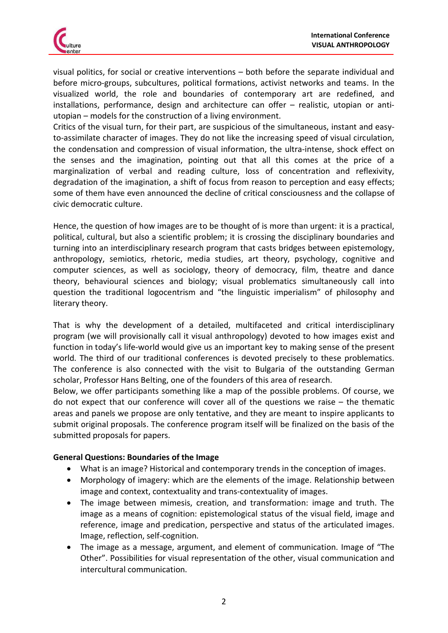

visual politics, for social or creative interventions – both before the separate individual and before micro-groups, subcultures, political formations, activist networks and teams. In the visualized world, the role and boundaries of contemporary art are redefined, and installations, performance, design and architecture can offer – realistic, utopian or antiutopian – models for the construction of a living environment.

Critics of the visual turn, for their part, are suspicious of the simultaneous, instant and easyto-assimilate character of images. They do not like the increasing speed of visual circulation, the condensation and compression of visual information, the ultra-intense, shock effect on the senses and the imagination, pointing out that all this comes at the price of a marginalization of verbal and reading culture, loss of concentration and reflexivity, degradation of the imagination, a shift of focus from reason to perception and easy effects; some of them have even announced the decline of critical consciousness and the collapse of civic democratic culture.

Hence, the question of how images are to be thought of is more than urgent: it is a practical, political, cultural, but also a scientific problem; it is crossing the disciplinary boundaries and turning into an interdisciplinary research program that casts bridges between epistemology, anthropology, semiotics, rhetoric, media studies, art theory, psychology, cognitive and computer sciences, as well as sociology, theory of democracy, film, theatre and dance theory, behavioural sciences and biology; visual problematics simultaneously call into question the traditional logocentrism and "the linguistic imperialism" of philosophy and literary theory.

That is why the development of a detailed, multifaceted and critical interdisciplinary program (we will provisionally call it visual anthropology) devoted to how images exist and function in today's life-world would give us an important key to making sense of the present world. The third of our traditional conferences is devoted precisely to these problematics. The conference is also connected with the visit to Bulgaria of the outstanding German scholar, Professor Hans Belting, one of the founders of this area of research.

Below, we offer participants something like a map of the possible problems. Of course, we do not expect that our conference will cover all of the questions we raise – the thematic areas and panels we propose are only tentative, and they are meant to inspire applicants to submit original proposals. The conference program itself will be finalized on the basis of the submitted proposals for papers.

# **General Questions: Boundaries of the Image**

- What is an image? Historical and contemporary trends in the conception of images.
- Morphology of imagery: which are the elements of the image. Relationship between image and context, contextuality and trans-contextuality of images.
- The image between mimesis, creation, and transformation: image and truth. The image as a means of cognition: epistemological status of the visual field, image and reference, image and predication, perspective and status of the articulated images. Image, reflection, self-cognition.
- The image as a message, argument, and element of communication. Image of "The Other". Possibilities for visual representation of the other, visual communication and intercultural communication.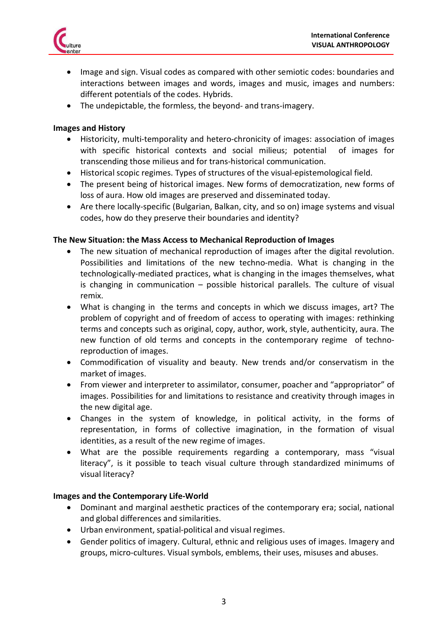

- Image and sign. Visual codes as compared with other semiotic codes: boundaries and interactions between images and words, images and music, images and numbers: different potentials of the codes. Hybrids.
- The undepictable, the formless, the beyond- and trans-imagery.

## **Images and History**

- Historicity, multi-temporality and hetero-chronicity of images: association of images with specific historical contexts and social milieus; potential of images for transcending those milieus and for trans-historical communication.
- Historical scopic regimes. Types of structures of the visual-epistemological field.
- The present being of historical images. New forms of democratization, new forms of loss of aura. How old images are preserved and disseminated today.
- Are there locally-specific (Bulgarian, Balkan, city, and so on) image systems and visual codes, how do they preserve their boundaries and identity?

## **The New Situation: the Mass Access to Mechanical Reproduction of Images**

- The new situation of mechanical reproduction of images after the digital revolution. Possibilities and limitations of the new techno-media. What is changing in the technologically-mediated practices, what is changing in the images themselves, what is changing in communication – possible historical parallels. The culture of visual remix.
- What is changing in the terms and concepts in which we discuss images, art? The problem of copyright and of freedom of access to operating with images: rethinking terms and concepts such as original, copy, author, work, style, authenticity, aura. The new function of old terms and concepts in the contemporary regime of technoreproduction of images.
- Commodification of visuality and beauty. New trends and/or conservatism in the market of images.
- From viewer and interpreter to assimilator, consumer, poacher and "appropriator" of images. Possibilities for and limitations to resistance and creativity through images in the new digital age.
- Changes in the system of knowledge, in political activity, in the forms of representation, in forms of collective imagination, in the formation of visual identities, as a result of the new regime of images.
- What are the possible requirements regarding a contemporary, mass "visual literacy", is it possible to teach visual culture through standardized minimums of visual literacy?

#### **Images and the Contemporary Life-World**

- Dominant and marginal aesthetic practices of the contemporary era; social, national and global differences and similarities.
- Urban environment, spatial-political and visual regimes.
- Gender politics of imagery. Cultural, ethnic and religious uses of images. Imagery and groups, micro-cultures. Visual symbols, emblems, their uses, misuses and abuses.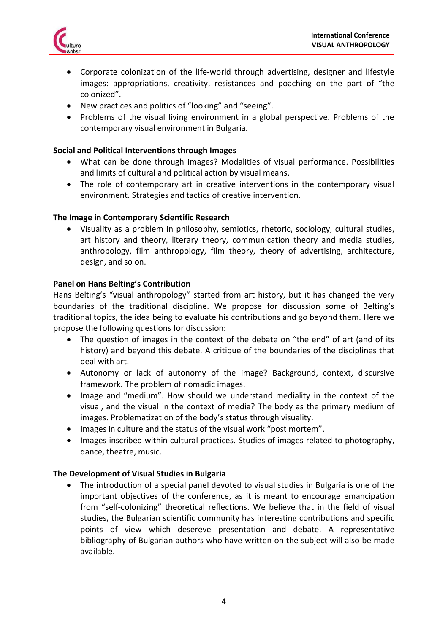

- Corporate colonization of the life-world through advertising, designer and lifestyle images: appropriations, creativity, resistances and poaching on the part of "the colonized".
- New practices and politics of "looking" and "seeing".
- Problems of the visual living environment in a global perspective. Problems of the contemporary visual environment in Bulgaria.

## **Social and Political Interventions through Images**

- What can be done through images? Modalities of visual performance. Possibilities and limits of cultural and political action by visual means.
- The role of contemporary art in creative interventions in the contemporary visual environment. Strategies and tactics of creative intervention.

## **The Image in Contemporary Scientific Research**

 Visuality as a problem in philosophy, semiotics, rhetoric, sociology, cultural studies, art history and theory, literary theory, communication theory and media studies, anthropology, film anthropology, film theory, theory of advertising, architecture, design, and so on.

## **Panel on Hans Belting's Contribution**

Hans Belting's "visual anthropology" started from art history, but it has changed the very boundaries of the traditional discipline. We propose for discussion some of Belting's traditional topics, the idea being to evaluate his contributions and go beyond them. Here we propose the following questions for discussion:

- The question of images in the context of the debate on "the end" of art (and of its history) and beyond this debate. A critique of the boundaries of the disciplines that deal with art.
- Autonomy or lack of autonomy of the image? Background, context, discursive framework. The problem of nomadic images.
- Image and "medium". How should we understand mediality in the context of the visual, and the visual in the context of media? The body as the primary medium of images. Problematization of the body's status through visuality.
- Images in culture and the status of the visual work "post mortem".
- Images inscribed within cultural practices. Studies of images related to photography, dance, theatre, music.

#### **The Development of Visual Studies in Bulgaria**

 The introduction of a special panel devoted to visual studies in Bulgaria is one of the important objectives of the conference, as it is meant to encourage emancipation from "self-colonizing" theoretical reflections. We believe that in the field of visual studies, the Bulgarian scientific community has interesting contributions and specific points of view which desereve presentation and debate. A representative bibliography of Bulgarian authors who have written on the subject will also be made available.